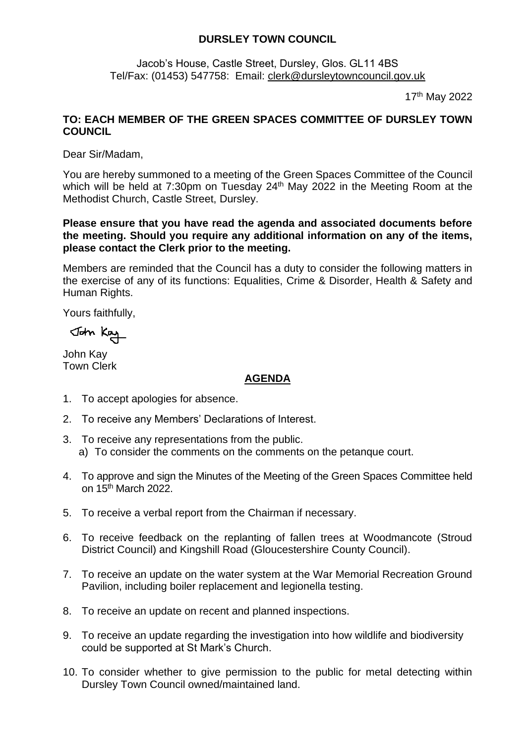# **DURSLEY TOWN COUNCIL**

Jacob's House, Castle Street, Dursley, Glos. GL11 4BS Tel/Fax: (01453) 547758: Email: [clerk@dursleytowncouncil.gov.uk](mailto:clerk@dursleytowncouncil.gov.uk)

17th May 2022

# **TO: EACH MEMBER OF THE GREEN SPACES COMMITTEE OF DURSLEY TOWN COUNCIL**

Dear Sir/Madam,

You are hereby summoned to a meeting of the Green Spaces Committee of the Council which will be held at 7:30pm on Tuesday  $24<sup>th</sup>$  May 2022 in the Meeting Room at the Methodist Church, Castle Street, Dursley.

#### **Please ensure that you have read the agenda and associated documents before the meeting. Should you require any additional information on any of the items, please contact the Clerk prior to the meeting.**

Members are reminded that the Council has a duty to consider the following matters in the exercise of any of its functions: Equalities, Crime & Disorder, Health & Safety and Human Rights.

Yours faithfully,

John Kay

John Kay Town Clerk

### **AGENDA**

- 1. To accept apologies for absence.
- 2. To receive any Members' Declarations of Interest.
- 3. To receive any representations from the public. a) To consider the comments on the comments on the petanque court.
- 4. To approve and sign the Minutes of the Meeting of the Green Spaces Committee held on 15th March 2022.
- 5. To receive a verbal report from the Chairman if necessary.
- 6. To receive feedback on the replanting of fallen trees at Woodmancote (Stroud District Council) and Kingshill Road (Gloucestershire County Council).
- 7. To receive an update on the water system at the War Memorial Recreation Ground Pavilion, including boiler replacement and legionella testing.
- 8. To receive an update on recent and planned inspections.
- 9. To receive an update regarding the investigation into how wildlife and biodiversity could be supported at St Mark's Church.
- 10. To consider whether to give permission to the public for metal detecting within Dursley Town Council owned/maintained land.